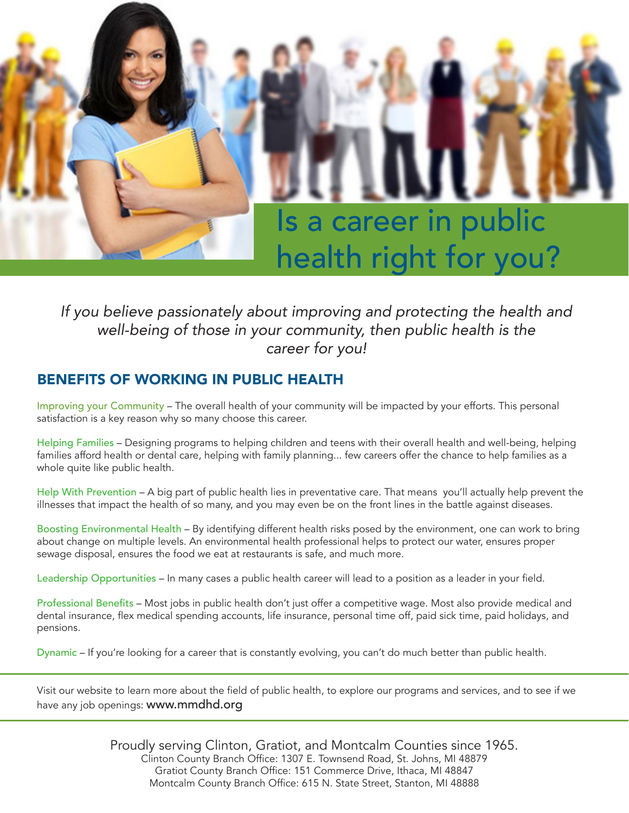

### *If you believe passionately about improving and protecting the health and well-being of those in your community, then public health is the career for you!*

#### BENEFITS OF WORKING IN PUBLIC HEALTH

Improving your Community – The overall health of your community will be impacted by your efforts. This personal satisfaction is a key reason why so many choose this career.

Helping Families – Designing programs to helping children and teens with their overall health and well-being, helping families afford health or dental care, helping with family planning... few careers offer the chance to help families as a whole quite like public health.

Help With Prevention – A big part of public health lies in preventative care. That means you'll actually help prevent the illnesses that impact the health of so many, and you may even be on the front lines in the battle against diseases.

Boosting Environmental Health – By identifying different health risks posed by the environment, one can work to bring about change on multiple levels. An environmental health professional helps to protect our water, ensures proper sewage disposal, ensures the food we eat at restaurants is safe, and much more.

Leadership Opportunities – In many cases a public health career will lead to a position as a leader in your field.

Professional Benefits – Most jobs in public health don't just offer a competitive wage. Most also provide medical and dental insurance, flex medical spending accounts, life insurance, personal time off, paid sick time, paid holidays, and pensions.

Dynamic – If you're looking for a career that is constantly evolving, you can't do much better than public health.

Visit our website to learn more about the field of public health, to explore our programs and services, and to see if we have any job openings: www.mmdhd.org

> Proudly serving Clinton, Gratiot, and Montcalm Counties since 1965. Clinton County Branch Office: 1307 E. Townsend Road, St. Johns, MI 48879 Gratiot County Branch Office: 151 Commerce Drive, Ithaca, MI 48847 Montcalm County Branch Office: 615 N. State Street, Stanton, MI 48888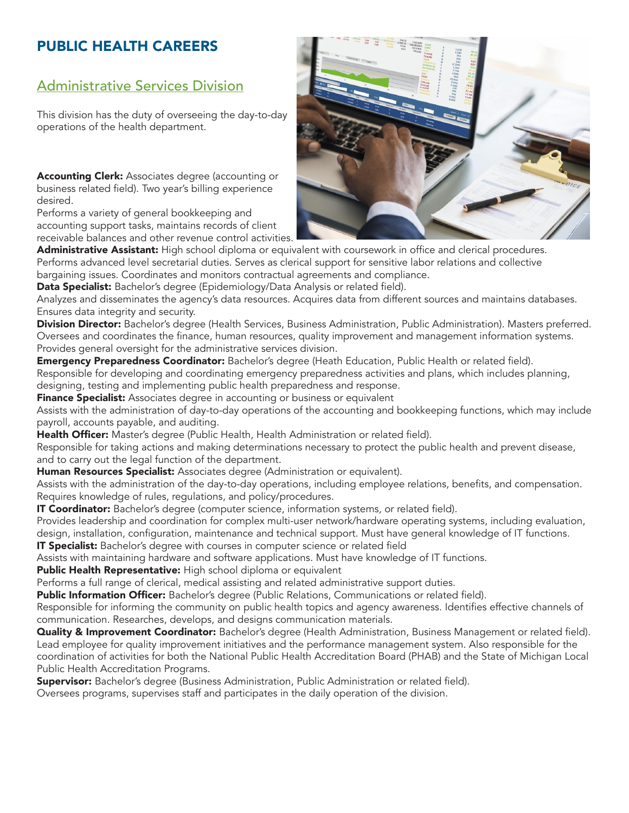# PUBLIC HEALTH CAREERS

## Administrative Services Division

This division has the duty of overseeing the day-to-day operations of the health department.

Accounting Clerk: Associates degree (accounting or business related field). Two year's billing experience desired.

Performs a variety of general bookkeeping and accounting support tasks, maintains records of client receivable balances and other revenue control activities.



Administrative Assistant: High school diploma or equivalent with coursework in office and clerical procedures. Performs advanced level secretarial duties. Serves as clerical support for sensitive labor relations and collective bargaining issues. Coordinates and monitors contractual agreements and compliance.

Data Specialist: Bachelor's degree (Epidemiology/Data Analysis or related field).

Analyzes and disseminates the agency's data resources. Acquires data from different sources and maintains databases. Ensures data integrity and security.

Division Director: Bachelor's degree (Health Services, Business Administration, Public Administration). Masters preferred. Oversees and coordinates the finance, human resources, quality improvement and management information systems. Provides general oversight for the administrative services division.

Emergency Preparedness Coordinator: Bachelor's degree (Heath Education, Public Health or related field). Responsible for developing and coordinating emergency preparedness activities and plans, which includes planning, designing, testing and implementing public health preparedness and response.

**Finance Specialist:** Associates degree in accounting or business or equivalent

Assists with the administration of day-to-day operations of the accounting and bookkeeping functions, which may include payroll, accounts payable, and auditing.

Health Officer: Master's degree (Public Health, Health Administration or related field).

Responsible for taking actions and making determinations necessary to protect the public health and prevent disease, and to carry out the legal function of the department.

**Human Resources Specialist:** Associates degree (Administration or equivalent).

Assists with the administration of the day-to-day operations, including employee relations, benefits, and compensation. Requires knowledge of rules, regulations, and policy/procedures.

**IT Coordinator:** Bachelor's degree (computer science, information systems, or related field).

Provides leadership and coordination for complex multi-user network/hardware operating systems, including evaluation, design, installation, configuration, maintenance and technical support. Must have general knowledge of IT functions.

**IT Specialist:** Bachelor's degree with courses in computer science or related field

Assists with maintaining hardware and software applications. Must have knowledge of IT functions.

Public Health Representative: High school diploma or equivalent

Performs a full range of clerical, medical assisting and related administrative support duties.

Public Information Officer: Bachelor's degree (Public Relations, Communications or related field).

Responsible for informing the community on public health topics and agency awareness. Identifies effective channels of communication. Researches, develops, and designs communication materials.

Quality & Improvement Coordinator: Bachelor's degree (Health Administration, Business Management or related field). Lead employee for quality improvement initiatives and the performance management system. Also responsible for the coordination of activities for both the National Public Health Accreditation Board (PHAB) and the State of Michigan Local Public Health Accreditation Programs.

Supervisor: Bachelor's degree (Business Administration, Public Administration or related field).

Oversees programs, supervises staff and participates in the daily operation of the division.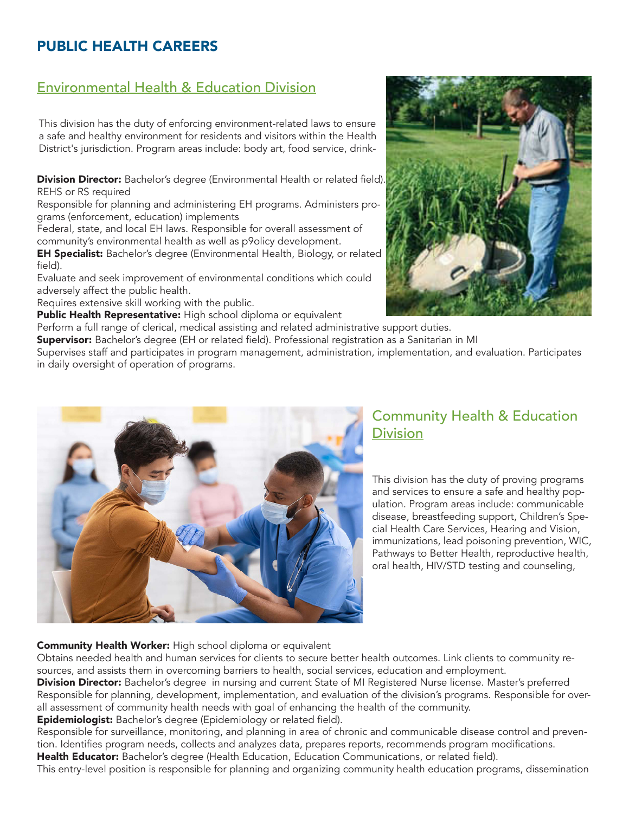## PUBLIC HEALTH CAREERS

## Environmental Health & Education Division

This division has the duty of enforcing environment-related laws to ensure a safe and healthy environment for residents and visitors within the Health District's jurisdiction. Program areas include: body art, food service, drink-

Division Director: Bachelor's degree (Environmental Health or related field). REHS or RS required

Responsible for planning and administering EH programs. Administers programs (enforcement, education) implements

Federal, state, and local EH laws. Responsible for overall assessment of community's environmental health as well as p9olicy development.

**EH Specialist:** Bachelor's degree (Environmental Health, Biology, or related field).

Evaluate and seek improvement of environmental conditions which could adversely affect the public health.

Requires extensive skill working with the public.

Public Health Representative: High school diploma or equivalent

Perform a full range of clerical, medical assisting and related administrative support duties.

Supervisor: Bachelor's degree (EH or related field). Professional registration as a Sanitarian in MI

Supervises staff and participates in program management, administration, implementation, and evaluation. Participates in daily oversight of operation of programs.



#### Community Health & Education **Division**

This division has the duty of proving programs and services to ensure a safe and healthy population. Program areas include: communicable disease, breastfeeding support, Children's Special Health Care Services, Hearing and Vision, immunizations, lead poisoning prevention, WIC, Pathways to Better Health, reproductive health, oral health, HIV/STD testing and counseling,

#### Community Health Worker: High school diploma or equivalent

Obtains needed health and human services for clients to secure better health outcomes. Link clients to community resources, and assists them in overcoming barriers to health, social services, education and employment.

Division Director: Bachelor's degree in nursing and current State of MI Registered Nurse license. Master's preferred Responsible for planning, development, implementation, and evaluation of the division's programs. Responsible for overall assessment of community health needs with goal of enhancing the health of the community.

**Epidemiologist:** Bachelor's degree (Epidemiology or related field).

Responsible for surveillance, monitoring, and planning in area of chronic and communicable disease control and prevention. Identifies program needs, collects and analyzes data, prepares reports, recommends program modifications. Health Educator: Bachelor's degree (Health Education, Education Communications, or related field).

This entry-level position is responsible for planning and organizing community health education programs, dissemination